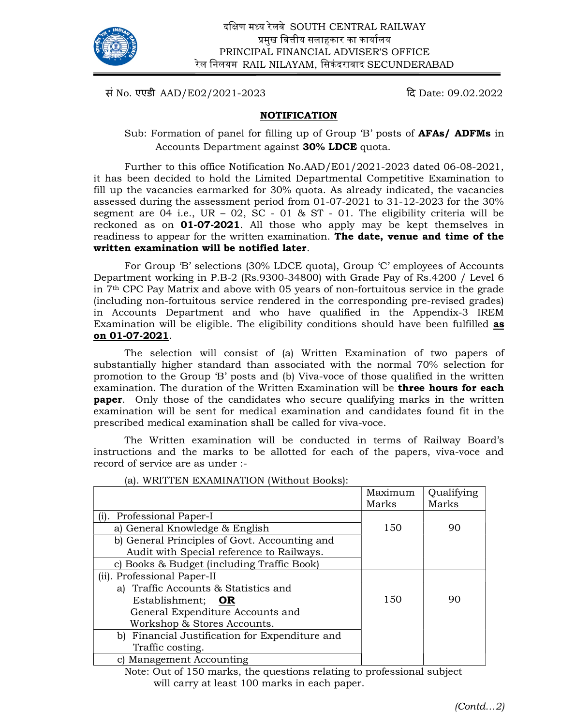

Ī

सं No. एएडी AAD/E02/2021-2023  $\frac{1}{\sqrt{3}}$  Date: 09.02.2022

# NOTIFICATION

Sub: Formation of panel for filling up of Group 'B' posts of **AFAs/ ADFMs** in Accounts Department against 30% LDCE quota.

 Further to this office Notification No.AAD/E01/2021-2023 dated 06-08-2021, it has been decided to hold the Limited Departmental Competitive Examination to fill up the vacancies earmarked for 30% quota. As already indicated, the vacancies assessed during the assessment period from 01-07-2021 to 31-12-2023 for the 30% segment are  $04$  i.e., UR –  $02$ , SC -  $01$  & ST -  $01$ . The eligibility criteria will be reckoned as on 01-07-2021. All those who apply may be kept themselves in readiness to appear for the written examination. The date, venue and time of the written examination will be notified later.

 For Group 'B' selections (30% LDCE quota), Group 'C' employees of Accounts Department working in P.B-2 (Rs.9300-34800) with Grade Pay of Rs.4200 / Level 6 in 7th CPC Pay Matrix and above with 05 years of non-fortuitous service in the grade (including non-fortuitous service rendered in the corresponding pre-revised grades) in Accounts Department and who have qualified in the Appendix-3 IREM Examination will be eligible. The eligibility conditions should have been fulfilled as on 01-07-2021.

The selection will consist of (a) Written Examination of two papers of substantially higher standard than associated with the normal 70% selection for promotion to the Group 'B' posts and (b) Viva-voce of those qualified in the written examination. The duration of the Written Examination will be **three hours for each paper.** Only those of the candidates who secure qualifying marks in the written examination will be sent for medical examination and candidates found fit in the prescribed medical examination shall be called for viva-voce.

 The Written examination will be conducted in terms of Railway Board's instructions and the marks to be allotted for each of the papers, viva-voce and record of service are as under :-

|                                                | Maximum<br>Marks | Qualifying<br>Marks |
|------------------------------------------------|------------------|---------------------|
| <b>Professional Paper-I</b>                    |                  |                     |
| a) General Knowledge & English                 | 150              | 90                  |
| b) General Principles of Govt. Accounting and  |                  |                     |
| Audit with Special reference to Railways.      |                  |                     |
| c) Books & Budget (including Traffic Book)     |                  |                     |
| (ii). Professional Paper-II                    |                  |                     |
| a) Traffic Accounts & Statistics and           |                  |                     |
| Establishment; OR                              | 150              | 90                  |
| General Expenditure Accounts and               |                  |                     |
| Workshop & Stores Accounts.                    |                  |                     |
| b) Financial Justification for Expenditure and |                  |                     |
| Traffic costing.                               |                  |                     |
| Management Accounting                          |                  |                     |

(a). WRITTEN EXAMINATION (Without Books):

 Note: Out of 150 marks, the questions relating to professional subject will carry at least 100 marks in each paper.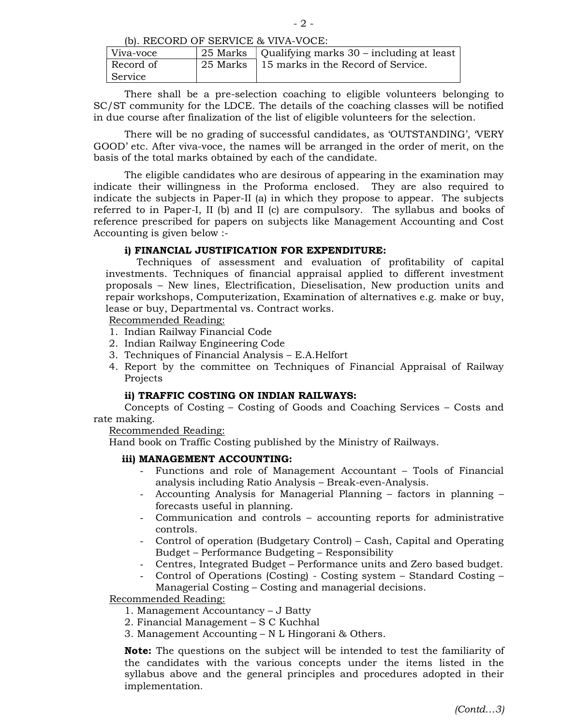- 2 -

(b). RECORD OF SERVICE & VIVA-VOCE:

| Viva-voce | 25 Marks   Qualifying marks 30 – including at least |
|-----------|-----------------------------------------------------|
| Record of | 25 Marks 15 marks in the Record of Service.         |
| Service   |                                                     |

 There shall be a pre-selection coaching to eligible volunteers belonging to SC/ST community for the LDCE. The details of the coaching classes will be notified in due course after finalization of the list of eligible volunteers for the selection.

There will be no grading of successful candidates, as 'OUTSTANDING', 'VERY GOOD' etc. After viva-voce, the names will be arranged in the order of merit, on the basis of the total marks obtained by each of the candidate.

 The eligible candidates who are desirous of appearing in the examination may indicate their willingness in the Proforma enclosed. They are also required to indicate the subjects in Paper-II (a) in which they propose to appear. The subjects referred to in Paper-I, II (b) and II (c) are compulsory. The syllabus and books of reference prescribed for papers on subjects like Management Accounting and Cost Accounting is given below :-

### i) FINANCIAL JUSTIFICATION FOR EXPENDITURE:

Techniques of assessment and evaluation of profitability of capital investments. Techniques of financial appraisal applied to different investment proposals – New lines, Electrification, Dieselisation, New production units and repair workshops, Computerization, Examination of alternatives e.g. make or buy, lease or buy, Departmental vs. Contract works.

Recommended Reading:

- 1. Indian Railway Financial Code
- 2. Indian Railway Engineering Code
- 3. Techniques of Financial Analysis E.A.Helfort
- 4. Report by the committee on Techniques of Financial Appraisal of Railway Projects

#### ii) TRAFFIC COSTING ON INDIAN RAILWAYS:

 Concepts of Costing – Costing of Goods and Coaching Services – Costs and rate making.

Recommended Reading:

Hand book on Traffic Costing published by the Ministry of Railways.

#### iii) MANAGEMENT ACCOUNTING:

- Functions and role of Management Accountant Tools of Financial analysis including Ratio Analysis – Break-even-Analysis.
- Accounting Analysis for Managerial Planning factors in planning forecasts useful in planning.
- Communication and controls accounting reports for administrative controls.
- Control of operation (Budgetary Control) Cash, Capital and Operating Budget – Performance Budgeting – Responsibility
- Centres, Integrated Budget Performance units and Zero based budget.
- Control of Operations (Costing) Costing system Standard Costing Managerial Costing – Costing and managerial decisions.

Recommended Reading:

- 1. Management Accountancy J Batty
- 2. Financial Management S C Kuchhal
- 3. Management Accounting N L Hingorani & Others.

Note: The questions on the subject will be intended to test the familiarity of the candidates with the various concepts under the items listed in the syllabus above and the general principles and procedures adopted in their implementation.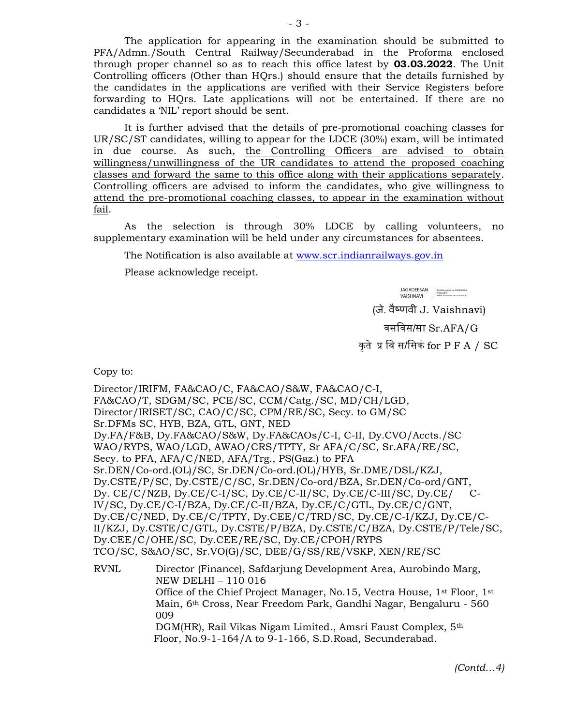The application for appearing in the examination should be submitted to PFA/Admn./South Central Railway/Secunderabad in the Proforma enclosed through proper channel so as to reach this office latest by 03.03.2022. The Unit Controlling officers (Other than HQrs.) should ensure that the details furnished by the candidates in the applications are verified with their Service Registers before forwarding to HQrs. Late applications will not be entertained. If there are no candidates a 'NIL' report should be sent.

 It is further advised that the details of pre-promotional coaching classes for UR/SC/ST candidates, willing to appear for the LDCE (30%) exam, will be intimated in due course. As such, the Controlling Officers are advised to obtain willingness/unwillingness of the UR candidates to attend the proposed coaching classes and forward the same to this office along with their applications separately. Controlling officers are advised to inform the candidates, who give willingness to attend the pre-promotional coaching classes, to appear in the examination without fail.

 As the selection is through 30% LDCE by calling volunteers, no supplementary examination will be held under any circumstances for absentees.

The Notification is also available at www.scr.indianrailways.gov.in

Please acknowledge receipt.

JAGADEESAN VAISHNAVI Digitally signed by JAGADEESAN VAISHNAVI Date: 2022.02.09 18:15:36 +05'30'

(जे. वैçणवी J. Vaishnavi)

वसिवस/सा Sr.AFA/G

कृते प्र वि स/सिकं for  $P$   $F$   $A$   $/$   $SC$ 

Copy to:

Director/IRIFM, FA&CAO/C, FA&CAO/S&W, FA&CAO/C-I, FA&CAO/T, SDGM/SC, PCE/SC, CCM/Catg./SC, MD/CH/LGD, Director/IRISET/SC, CAO/C/SC, CPM/RE/SC, Secy. to GM/SC Sr.DFMs SC, HYB, BZA, GTL, GNT, NED Dy.FA/F&B, Dy.FA&CAO/S&W, Dy.FA&CAOs/C-I, C-II, Dy.CVO/Accts./SC WAO/RYPS, WAO/LGD, AWAO/CRS/TPTY, Sr AFA/C/SC, Sr.AFA/RE/SC, Secy. to PFA, AFA/C/NED, AFA/Trg., PS(Gaz.) to PFA Sr.DEN/Co-ord.(OL)/SC, Sr.DEN/Co-ord.(OL)/HYB, Sr.DME/DSL/KZJ, Dy.CSTE/P/SC, Dy.CSTE/C/SC, Sr.DEN/Co-ord/BZA, Sr.DEN/Co-ord/GNT, Dy. CE/C/NZB, Dy.CE/C-I/SC, Dy.CE/C-II/SC, Dy.CE/C-III/SC, Dy.CE/ C-IV/SC, Dy.CE/C-I/BZA, Dy.CE/C-II/BZA, Dy.CE/C/GTL, Dy.CE/C/GNT, Dy.CE/C/NED, Dy.CE/C/TPTY, Dy.CEE/C/TRD/SC, Dy.CE/C-I/KZJ, Dy.CE/C-II/KZJ, Dy.CSTE/C/GTL, Dy.CSTE/P/BZA, Dy.CSTE/C/BZA, Dy.CSTE/P/Tele/SC, Dy.CEE/C/OHE/SC, Dy.CEE/RE/SC, Dy.CE/CPOH/RYPS TCO/SC, S&AO/SC, Sr.VO(G)/SC, DEE/G/SS/RE/VSKP, XEN/RE/SC RVNL Director (Finance), Safdarjung Development Area, Aurobindo Marg, NEW DELHI – 110 016

 Office of the Chief Project Manager, No.15, Vectra House, 1st Floor, 1st Main, 6th Cross, Near Freedom Park, Gandhi Nagar, Bengaluru - 560 009

DGM(HR), Rail Vikas Nigam Limited., Amsri Faust Complex, 5<sup>th</sup> Floor, No.9-1-164/A to 9-1-166, S.D.Road, Secunderabad.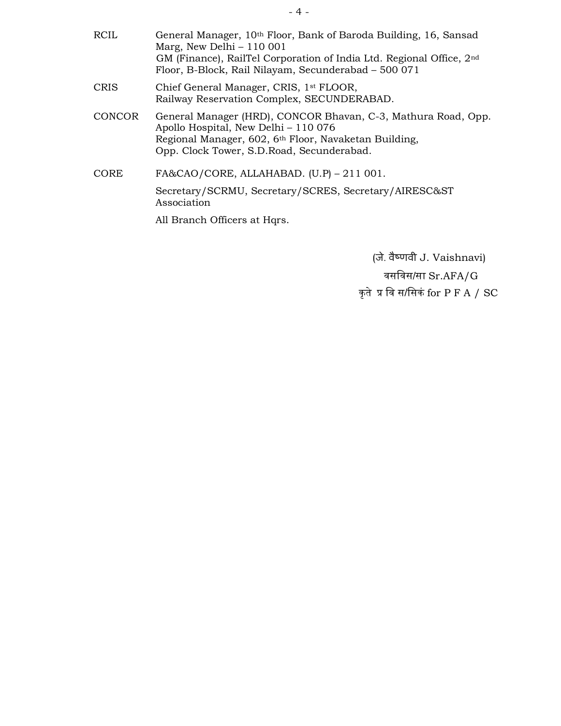- RCIL General Manager, 10<sup>th</sup> Floor, Bank of Baroda Building, 16, Sansad Marg, New Delhi – 110 001 GM (Finance), RailTel Corporation of India Ltd. Regional Office, 2nd Floor, B-Block, Rail Nilayam, Secunderabad – 500 071 CRIS Chief General Manager, CRIS, 1st FLOOR, Railway Reservation Complex, SECUNDERABAD. CONCOR General Manager (HRD), CONCOR Bhavan, C-3, Mathura Road, Opp. Apollo Hospital, New Delhi – 110 076 Regional Manager, 602, 6th Floor, Navaketan Building, Opp. Clock Tower, S.D.Road, Secunderabad.
- CORE FA&CAO/CORE, ALLAHABAD. (U.P) 211 001. Secretary/SCRMU, Secretary/SCRES, Secretary/AIRESC&ST Association

All Branch Officers at Hqrs.

JAGADEESAN VAISHNAVI Digitally signed by JAGADEESAN VAISHNAVI Date: 2022.02.09 18:16:04 +05'30'

 (जे. वैçणवी J. Vaishnavi) वसिवस/सा Sr.AFA/G कृते प्र वि स/सिकं for  $P$   $F$   $A$   $/$   $SC$